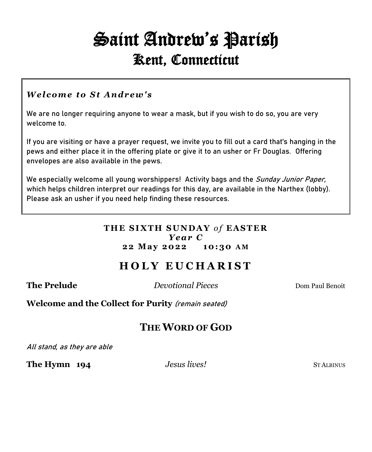# Saint Andrew's Parish Kent, Connecticut

# *W e l co m e to S t A n d r e w ' s*

We are no longer requiring anyone to wear a mask, but if you wish to do so, you are very welcome to.

If you are **visiting** or have a **prayer request,** we invite you to fill out a card that's hanging in the pews and either place it in the offering plate or give it to an usher or Fr Douglas. **Offering envelopes** are also available in the pews.

We especially welcome all **young worshippers!** Activity bags and the Sunday Junior Paper, which helps children interpret our readings for this day, are available in the Narthex (lobby). Please ask an usher if you need help finding these resources.

### **T H E S I XT H SUND A Y** *o f* **EA S T E R** *Y e a r C* **2 2 M a y 2 0 2 2 1 0 : 30 A M**

# **H O L Y E U C H A R I S T**

**The Prelude** *Devotional Pieces* Dom Paul Benoit

**Welcome and the Collect for Purity** (remain seated)

# **THE WORD OF GOD**

All stand, as they are able

**The Hymn 194** *Jesus lives!* STALBINUS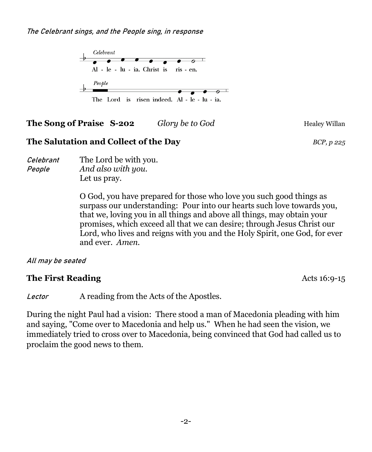

**The Song of Praise S-202** *Glory be to God Healey Willan* 

# **The Salutation and Collect of the Day** *BCP, p 225*

Celebrant The Lord be with you. People *And also with you.* Let us pray.

> O God, you have prepared for those who love you such good things as surpass our understanding: Pour into our hearts such love towards you, that we, loving you in all things and above all things, may obtain your promises, which exceed all that we can desire; through Jesus Christ our Lord, who lives and reigns with you and the Holy Spirit, one God, for ever and ever. *Amen.*

### All may be seated

# **The First Reading Acts 16:9-15**

Lector A reading from the Acts of the Apostles.

During the night Paul had a vision: There stood a man of Macedonia pleading with him and saying, "Come over to Macedonia and help us." When he had seen the vision, we immediately tried to cross over to Macedonia, being convinced that God had called us to proclaim the good news to them.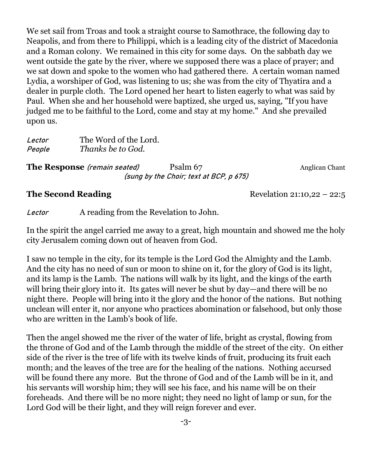We set sail from Troas and took a straight course to Samothrace, the following day to Neapolis, and from there to Philippi, which is a leading city of the district of Macedonia and a Roman colony. We remained in this city for some days. On the sabbath day we went outside the gate by the river, where we supposed there was a place of prayer; and we sat down and spoke to the women who had gathered there. A certain woman named Lydia, a worshiper of God, was listening to us; she was from the city of Thyatira and a dealer in purple cloth. The Lord opened her heart to listen eagerly to what was said by Paul. When she and her household were baptized, she urged us, saying, "If you have judged me to be faithful to the Lord, come and stay at my home." And she prevailed upon us.

| Lector | The Word of the Lord. |
|--------|-----------------------|
| People | Thanks be to God.     |

#### **The Response** (*remain seated*) Psalm 67 Anglican Chant (sung by the Choir; text at BCP, p 675)

**The Second Reading** Revelation 21:10,22 – 22:5

Lector A reading from the Revelation to John.

In the spirit the angel carried me away to a great, high mountain and showed me the holy city Jerusalem coming down out of heaven from God.

I saw no temple in the city, for its temple is the Lord God the Almighty and the Lamb. And the city has no need of sun or moon to shine on it, for the glory of God is its light, and its lamp is the Lamb. The nations will walk by its light, and the kings of the earth will bring their glory into it. Its gates will never be shut by day—and there will be no night there. People will bring into it the glory and the honor of the nations. But nothing unclean will enter it, nor anyone who practices abomination or falsehood, but only those who are written in the Lamb's book of life.

Then the angel showed me the river of the water of life, bright as crystal, flowing from the throne of God and of the Lamb through the middle of the street of the city. On either side of the river is the tree of life with its twelve kinds of fruit, producing its fruit each month; and the leaves of the tree are for the healing of the nations. Nothing accursed will be found there any more. But the throne of God and of the Lamb will be in it, and his servants will worship him; they will see his face, and his name will be on their foreheads. And there will be no more night; they need no light of lamp or sun, for the Lord God will be their light, and they will reign forever and ever.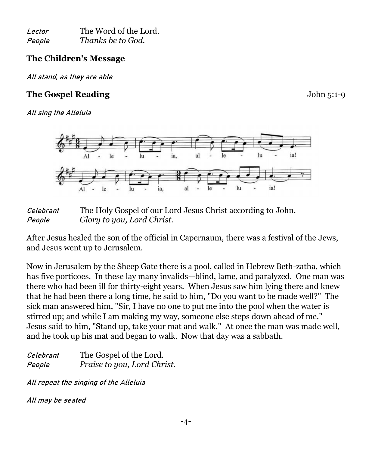Lector The Word of the Lord. People *Thanks be to God.*

#### **The Children's Message**

All stand, as they are able

# **The Gospel Reading The Gospel Reading**  $John 5:1-9$

All sing the Alleluia



Celebrant The Holy Gospel of our Lord Jesus Christ according to John. People *Glory to you, Lord Christ.*

After Jesus healed the son of the official in Capernaum, there was a festival of the Jews, and Jesus went up to Jerusalem.

Now in Jerusalem by the Sheep Gate there is a pool, called in Hebrew Beth-zatha, which has five porticoes. In these lay many invalids—blind, lame, and paralyzed. One man was there who had been ill for thirty-eight years. When Jesus saw him lying there and knew that he had been there a long time, he said to him, "Do you want to be made well?" The sick man answered him, "Sir, I have no one to put me into the pool when the water is stirred up; and while I am making my way, someone else steps down ahead of me." Jesus said to him, "Stand up, take your mat and walk." At once the man was made well, and he took up his mat and began to walk. Now that day was a sabbath.

| Celebrant | The Gospel of the Lord.     |
|-----------|-----------------------------|
| People    | Praise to you, Lord Christ. |

All repeat the singing of the Alleluia

All may be seated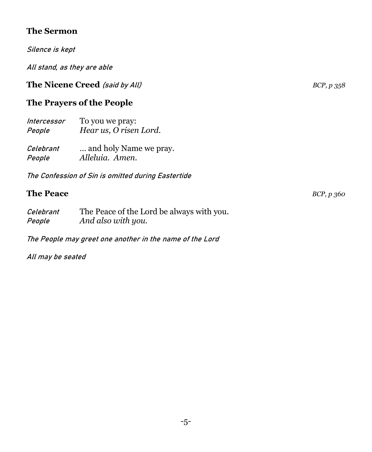# **The Sermon**

Silence is kept

All stand, as they are able

# **The Nicene Creed** (said by All) *BCP, p* 358

# **The Prayers of the People**

| Intercessor | To you we pray:        |
|-------------|------------------------|
| People      | Hear us, O risen Lord. |
| Celebrant   | and holy Name we pray. |
| People      | Alleluia. Amen.        |

The Confession of Sin is omitted during Eastertide

# **The Peace** *BCP, p* 360

| Celebrant | The Peace of the Lord be always with you. |
|-----------|-------------------------------------------|
| People    | And also with you.                        |

The People may greet one another in the name of the Lord

All may be seated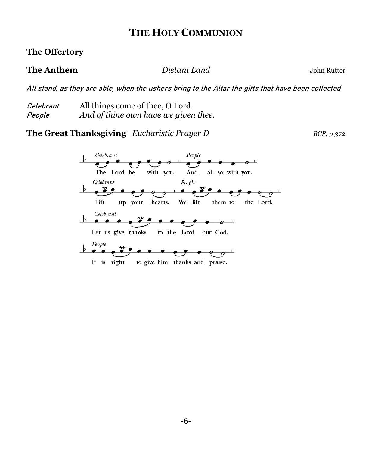# **THE HOLY COMMUNION**

### **The Offertory**

#### **The Anthem** *Distant Land Distant Land* John Rutter

All stand, as they are able, when the ushers bring to the Altar the gifts that have been collected

| Celebrant | All things come of thee, O Lord.     |  |
|-----------|--------------------------------------|--|
| People    | And of thine own have we given thee. |  |

**The Great Thanksgiving** *Eucharistic Prayer D BCP, p 372*

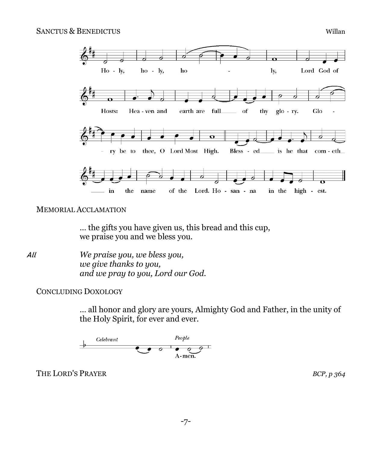

#### MEMORIAL ACCLAMATION

… the gifts you have given us, this bread and this cup, we praise you and we bless you.

All *We praise you, we bless you, we give thanks to you, and we pray to you, Lord our God.*

#### CONCLUDING DOXOLOGY

… all honor and glory are yours, Almighty God and Father, in the unity of the Holy Spirit, for ever and ever.



THE LORD'S PRAYER *BCP, p 364*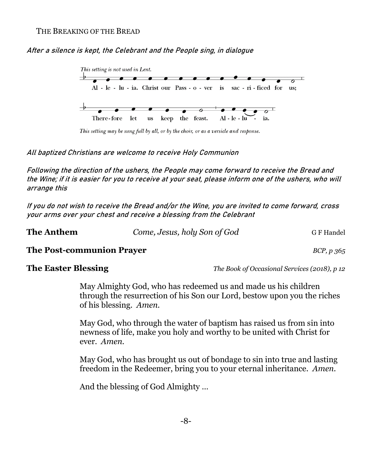#### THE BREAKING OF THE BREAD

After a silence is kept, the Celebrant and the People sing, in dialogue



This setting may be sung full by all, or by the choir, or as a versicle and response.

All baptized Christians are welcome to receive Holy Communion

Following the direction of the ushers, the People may come forward to receive the Bread and the Wine; if it is easier for you to receive at your seat, please inform one of the ushers, who will arrange this

If you do not wish to receive the Bread and/or the Wine, you are invited to come forward, cross your arms over your chest and receive a blessing from the Celebrant

| <b>The Anthem</b> | Come, Jesus, holy Son of God | G F Handel |
|-------------------|------------------------------|------------|
|                   |                              |            |

#### **The Post-communion Prayer BCP, p 365 BCP, p 365**

**The Easter Blessing** *The Book of Occasional Services (2018), p 12*

May Almighty God, who has redeemed us and made us his children through the resurrection of his Son our Lord, bestow upon you the riches of his blessing. *Amen.* 

May God, who through the water of baptism has raised us from sin into newness of life, make you holy and worthy to be united with Christ for ever. *Amen.* 

May God, who has brought us out of bondage to sin into true and lasting freedom in the Redeemer, bring you to your eternal inheritance. *Amen.* 

And the blessing of God Almighty …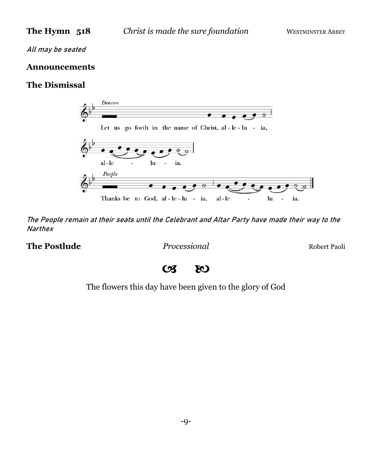All may be seated

#### **Announcements**

## **The Dismissal**



The People remain at their seats until the Celebrant and Altar Party have made their way to the **Narthex** 

### **The Postlude** *Processional Processional* Robert Paoli



The flowers this day have been given to the glory of God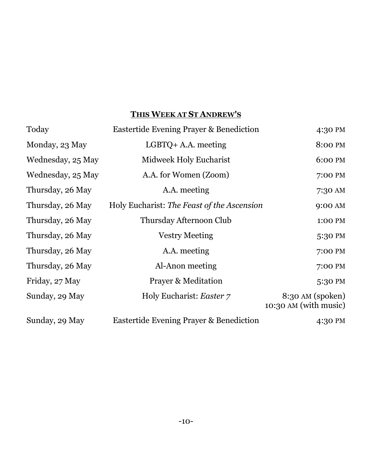# **THIS WEEK AT ST ANDREW'S**

| Today             | Eastertide Evening Prayer & Benediction    | 4:30 PM                                   |
|-------------------|--------------------------------------------|-------------------------------------------|
| Monday, 23 May    | $LGBTQ + A.A.$ meeting                     | 8:00 PM                                   |
| Wednesday, 25 May | Midweek Holy Eucharist                     | 6:00 PM                                   |
| Wednesday, 25 May | A.A. for Women (Zoom)                      | 7:00 PM                                   |
| Thursday, 26 May  | A.A. meeting                               | 7:30 AM                                   |
| Thursday, 26 May  | Holy Eucharist: The Feast of the Ascension | 9:00 AM                                   |
| Thursday, 26 May  | Thursday Afternoon Club                    | 1:00 PM                                   |
| Thursday, 26 May  | <b>Vestry Meeting</b>                      | 5:30 PM                                   |
| Thursday, 26 May  | A.A. meeting                               | 7:00 PM                                   |
| Thursday, 26 May  | Al-Anon meeting                            | 7:00 PM                                   |
| Friday, 27 May    | <b>Prayer &amp; Meditation</b>             | 5:30 PM                                   |
| Sunday, 29 May    | Holy Eucharist: Easter 7                   | 8:30 AM (spoken)<br>10:30 AM (with music) |
| Sunday, 29 May    | Eastertide Evening Prayer & Benediction    | 4:30 PM                                   |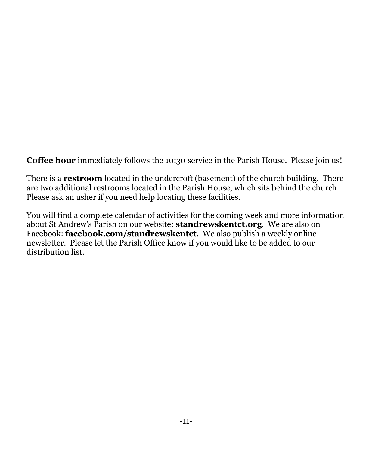**Coffee hour** immediately follows the 10:30 service in the Parish House. Please join us!

There is a **restroom** located in the undercroft (basement) of the church building. There are two additional restrooms located in the Parish House, which sits behind the church. Please ask an usher if you need help locating these facilities.

You will find a complete calendar of activities for the coming week and more information about St Andrew's Parish on our website: **standrewskentct.org**. We are also on Facebook: **facebook.com/standrewskentct**. We also publish a weekly online newsletter. Please let the Parish Office know if you would like to be added to our distribution list.